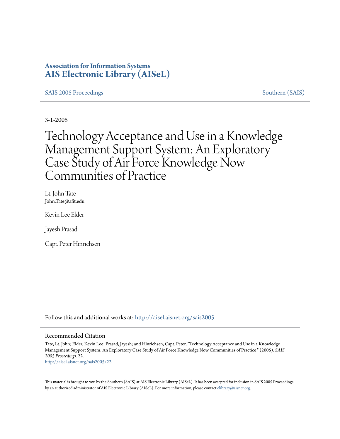## **Association for Information Systems [AIS Electronic Library \(AISeL\)](http://aisel.aisnet.org?utm_source=aisel.aisnet.org%2Fsais2005%2F22&utm_medium=PDF&utm_campaign=PDFCoverPages)**

#### [SAIS 2005 Proceedings](http://aisel.aisnet.org/sais2005?utm_source=aisel.aisnet.org%2Fsais2005%2F22&utm_medium=PDF&utm_campaign=PDFCoverPages) [Southern \(SAIS\)](http://aisel.aisnet.org/sais?utm_source=aisel.aisnet.org%2Fsais2005%2F22&utm_medium=PDF&utm_campaign=PDFCoverPages)

3-1-2005

# Technology Acceptance and Use in a Knowledge Management Support System: An Exploratory Case Study of Air Force Knowledge Now Communities of Practice

Lt. John Tate John.Tate@afit.edu

Kevin Lee Elder

Jayesh Prasad

Capt. Peter Hinrichsen

Follow this and additional works at: [http://aisel.aisnet.org/sais2005](http://aisel.aisnet.org/sais2005?utm_source=aisel.aisnet.org%2Fsais2005%2F22&utm_medium=PDF&utm_campaign=PDFCoverPages)

#### Recommended Citation

Tate, Lt. John; Elder, Kevin Lee; Prasad, Jayesh; and Hinrichsen, Capt. Peter, "Technology Acceptance and Use in a Knowledge Management Support System: An Exploratory Case Study of Air Force Knowledge Now Communities of Practice " (2005). *SAIS 2005 Proceedings*. 22. [http://aisel.aisnet.org/sais2005/22](http://aisel.aisnet.org/sais2005/22?utm_source=aisel.aisnet.org%2Fsais2005%2F22&utm_medium=PDF&utm_campaign=PDFCoverPages)

This material is brought to you by the Southern (SAIS) at AIS Electronic Library (AISeL). It has been accepted for inclusion in SAIS 2005 Proceedings by an authorized administrator of AIS Electronic Library (AISeL). For more information, please contact [elibrary@aisnet.org](mailto:elibrary@aisnet.org%3E).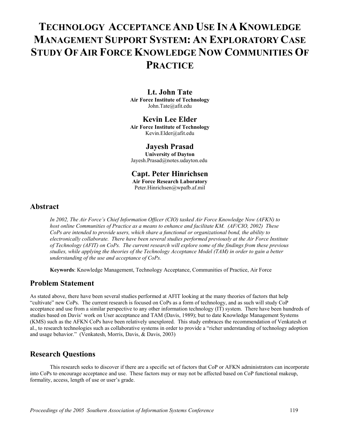## **TECHNOLOGY ACCEPTANCE AND USE IN AKNOWLEDGE MANAGEMENT SUPPORT SYSTEM: AN EXPLORATORY CASE STUDY OF AIR FORCE KNOWLEDGE NOW COMMUNITIES OF PRACTICE**

#### **Lt. John Tate**

**Air Force Institute of Technology**  John.Tate@afit.edu

**Kevin Lee Elder Air Force Institute of Technology**  Kevin.Elder@afit.edu

#### **Jayesh Prasad**

**University of Dayton**  Jayesh.Prasad@notes.udayton.edu

#### **Capt. Peter Hinrichsen**

**Air Force Research Laboratory**  Peter.Hinrichsen@wpafb.af.mil

#### **Abstract**

*In 2002, The Air Force's Chief Information Officer (CIO) tasked Air Force Knowledge Now (AFKN) to host online Communities of Practice as a means to enhance and facilitate KM. (AF/CIO, 2002) These CoPs are intended to provide users, which share a functional or organizational bond, the ability to electronically collaborate. There have been several studies performed previously at the Air Force Institute of Technology (AFIT) on CoPs. The current research will explore some of the findings from these previous studies, while applying the theories of the Technology Acceptance Model (TAM) in order to gain a better understanding of the use and acceptance of CoPs.* 

**Keywords**: Knowledge Management, Technology Acceptance, Communities of Practice, Air Force

#### **Problem Statement**

As stated above, there have been several studies performed at AFIT looking at the many theories of factors that help "cultivate" new CoPs. The current research is focused on CoPs as a form of technology, and as such will study CoP acceptance and use from a similar perspective to any other information technology (IT) system. There have been hundreds of studies based on Davis' work on User acceptance and TAM (Davis, 1989); but to date Knowledge Management Systems (KMS) such as the AFKN CoPs have been relatively unexplored. This study embraces the recommendation of Venkatesh et al., to research technologies such as collaborative systems in order to provide a "richer understanding of technology adoption and usage behavior." (Venkatesh, Morris, Davis, & Davis, 2003)

#### **Research Questions**

This research seeks to discover if there are a specific set of factors that CoP or AFKN administrators can incorporate into CoPs to encourage acceptance and use. These factors may or may not be affected based on CoP functional makeup, formality, access, length of use or user's grade.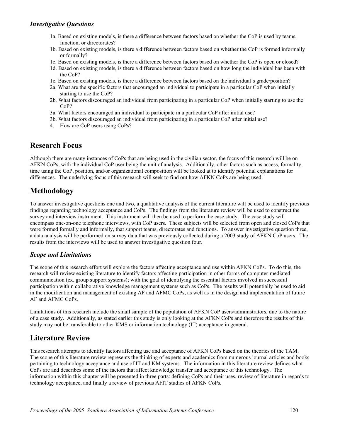#### *Investigative Questions*

- 1a. Based on existing models, is there a difference between factors based on whether the CoP is used by teams, function, or directorates?
- 1b. Based on existing models, is there a difference between factors based on whether the CoP is formed informally or formally?
- 1c. Based on existing models, is there a difference between factors based on whether the CoP is open or closed?
- 1d. Based on existing models, is there a difference between factors based on how long the individual has been with the CoP?
- 1e. Based on existing models, is there a difference between factors based on the individual's grade/position?
- 2a. What are the specific factors that encouraged an individual to participate in a particular CoP when initially starting to use the CoP?
- 2b. What factors discouraged an individual from participating in a particular CoP when initially starting to use the CoP?
- 3a. What factors encouraged an individual to participate in a particular CoP after initial use?
- 3b. What factors discouraged an individual from participating in a particular CoP after initial use?
- 4. How are CoP users using CoPs?

#### **Research Focus**

Although there are many instances of CoPs that are being used in the civilian sector, the focus of this research will be on AFKN CoPs, with the individual CoP user being the unit of analysis. Additionally, other factors such as access, formality, time using the CoP, position, and/or organizational composition will be looked at to identify potential explanations for differences. The underlying focus of this research will seek to find out how AFKN CoPs are being used.

### **Methodology**

To answer investigative questions one and two, a qualitative analysis of the current literature will be used to identify previous findings regarding technology acceptance and CoPs. The findings from the literature review will be used to construct the survey and interview instrument. This instrument will then be used to perform the case study. The case study will encompass one-on-one telephone interviews, with CoP users. These subjects will be selected from open and closed CoPs that were formed formally and informally, that support teams, directorates and functions. To answer investigative question three, a data analysis will be performed on survey data that was previously collected during a 2003 study of AFKN CoP users. The results from the interviews will be used to answer investigative question four.

#### *Scope and Limitations*

The scope of this research effort will explore the factors affecting acceptance and use within AFKN CoPs. To do this, the research will review existing literature to identify factors affecting participation in other forms of computer-mediated communication (ex. group support systems); with the goal of identifying the essential factors involved in successful participation within collaborative knowledge management systems such as CoPs. The results will potentially be used to aid in the modification and management of existing AF and AFMC CoPs, as well as in the design and implementation of future AF and AFMC CoPs.

Limitations of this research include the small sample of the population of AFKN CoP users/administrators, due to the nature of a case study. Additionally, as stated earlier this study is only looking at the AFKN CoPs and therefore the results of this study may not be transferable to other KMS or information technology (IT) acceptance in general.

#### **Literature Review**

This research attempts to identify factors affecting use and acceptance of AFKN CoPs based on the theories of the TAM. The scope of this literature review represents the thinking of experts and academics from numerous journal articles and books pertaining to technology acceptance and use of IT and KM systems. The information in this literature review defines what CoPs are and describes some of the factors that affect knowledge transfer and acceptance of this technology. The information within this chapter will be presented in three parts: defining CoPs and their uses, review of literature in regards to technology acceptance, and finally a review of previous AFIT studies of AFKN CoPs.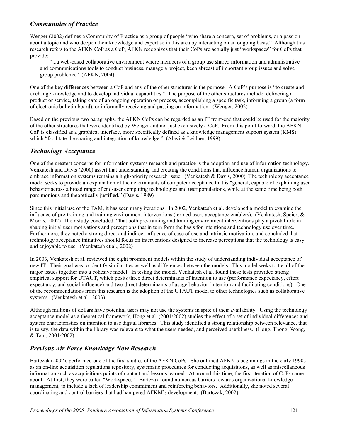#### *Communities of Practice*

Wenger (2002) defines a Community of Practice as a group of people "who share a concern, set of problems, or a passion about a topic and who deepen their knowledge and expertise in this area by interacting on an ongoing basis." Although this research refers to the AFKN CoP as a CoP, AFKN recognizes that their CoPs are actually just "workspaces" for CoPs that provide:

"...a web-based collaborative environment where members of a group use shared information and administrative and communications tools to conduct business, manage a project, keep abreast of important group issues and solve group problems." (AFKN, 2004)

One of the key differences between a CoP and any of the other structures is the purpose. A CoP's purpose is "to create and exchange knowledge and to develop individual capabilities." The purpose of the other structures include: delivering a product or service, taking care of an ongoing operation or process, accomplishing a specific task, informing a group (a form of electronic bulletin board), or informally receiving and passing on information. (Wenger, 2002)

Based on the previous two paragraphs, the AFKN CoPs can be regarded as an IT front-end that could be used for the majority of the other structures that were identified by Wenger and not just exclusively a CoP. From this point forward, the AFKN CoP is classified as a graphical interface, more specifically defined as a knowledge management support system (KMS), which "facilitate the sharing and integration of knowledge." (Alavi & Leidner, 1999)

#### *Technology Acceptance*

One of the greatest concerns for information systems research and practice is the adoption and use of information technology. Venkatesh and Davis (2000) assert that understanding and creating the conditions that influence human organizations to embrace information systems remains a high-priority research issue. (Venkatesh & Davis, 2000) The technology acceptance model seeks to provide an explanation of the determinants of computer acceptance that is "general, capable of explaining user behavior across a broad range of end-user computing technologies and user populations, while at the same time being both parsimonious and theoretically justified." (Davis, 1989)

Since this initial use of the TAM, it has seen many iterations. In 2002, Venkatesh et al. developed a model to examine the influence of pre-training and training environment interventions (termed users acceptance enablers). (Venkatesh, Speier,  $\&$ Morris, 2002) Their study concluded: "that both pre-training and training environment interventions play a pivotal role in shaping initial user motivations and perceptions that in turn form the basis for intentions and technology use over time. Furthermore, they noted a strong direct and indirect influence of ease of use and intrinsic motivation, and concluded that technology acceptance initiatives should focus on interventions designed to increase perceptions that the technology is easy and enjoyable to use. (Venkatesh et al., 2002)

In 2003, Venkatesh et al. reviewed the eight prominent models within the study of understanding individual acceptance of new IT. Their goal was to identify similarities as well as differences between the models. This model seeks to tie all of the major issues together into a cohesive model. In testing the model, Venkatesh et al. found these tests provided strong empirical support for UTAUT, which posits three direct determinants of intention to use (performance expectancy, effort expectancy, and social influence) and two direct determinants of usage behavior (intention and facilitating conditions). One of the recommendations from this research is the adoption of the UTAUT model to other technologies such as collaborative systems. (Venkatesh et al., 2003)

Although millions of dollars have potential users may not use the systems in spite of their availability. Using the technology acceptance model as a theoretical framework, Hong et al. (2001/2002) studies the effect of a set of individual differences and system characteristics on intention to use digital libraries. This study identified a strong relationship between relevance, that is to say, the data within the library was relevant to what the users needed, and perceived usefulness. (Hong, Thong, Wong, & Tam, 2001/2002)

#### *Previous Air Force Knowledge Now Research*

Bartczak (2002), performed one of the first studies of the AFKN CoPs. She outlined AFKN's beginnings in the early 1990s as an on-line acquisition regulations repository, systematic procedures for conducting acquisitions, as well as miscellaneous information such as acquisitions points of contact and lessons learned. At around this time, the first iteration of CoPs came about. At first, they were called "Workspaces." Bartczak found numerous barriers towards organizational knowledge management, to include a lack of leadership commitment and reinforcing behaviors. Additionally, she noted several coordinating and control barriers that had hampered AFKM's development. (Bartczak, 2002)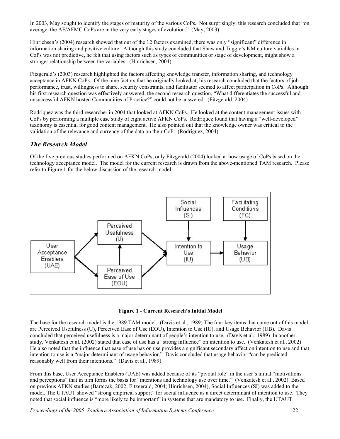In 2003, May sought to identify the stages of maturity of the various CoPs. Not surprisingly, this research concluded that "on average, the AF/AFMC CoPs are in the very early stages of evolution." (May, 2003)

Hinrichsen's (2004) research showed that out of the 12 factors examined, there was only "significant" difference in information sharing and positive culture. Although this study concluded that Shaw and Tuggle's KM culture variables in CoPs was not predictive, he felt that using factors such as types of communities or stage of development, might show a stronger relationship between the variables. (Hinrichsen, 2004)

Fitzgerald's (2003) research highlighted the factors affecting knowledge transfer, information sharing, and technology acceptance in AFKN CoPs. Of the nine factors that he originally looked at, his research concluded that the factors of job performance, trust, willingness to share, security constraints, and facilitator seemed to affect participation in CoPs. Although his first research question was effectively answered, the second research question, "What differentiates the successful and unsuccessful AFKN hosted Communities of Practice?" could not be answered. (Fitzgerald, 2004)

Rodriquez was the third researcher in 2004 that looked at AFKN CoPs. He looked at the content management issues with CoPs by performing a multiple case study of eight active AFKN CoPs. Rodriquez found that having a "well-developed" taxonomy is essential for good content management. He also pointed out that the knowledge owner was critical to the validation of the relevance and currency of the data on their CoP. (Rodriguez, 2004)

#### *The Research Model*

<span id="page-4-0"></span>Of the five previous studies performed on AFKN CoPs, only Fitzgerald (2004) looked at how usage of CoPs based on the technology acceptance model. The model for the current research is drawn from the above-mentioned TAM research. Please refer to [Figure](#page-4-0) 1 for the below discussion of the research model.





The base for the research model is the 1989 TAM model. (Davis et al., 1989) The four key items that came out of this model are Perceived Usefulness (U), Perceived Ease of Use (EOU), Intention to Use (IU), and Usage Behavior (UB). Davis concluded that perceived usefulness is a major determinant of people's intention to use. (Davis et al., 1989) In another study, Venkatesh et al. (2002) stated that ease of use has a "strong influence" on intention to use. (Venkatesh et al., 2002) He also noted that the influence that ease of use has on use provides a significant secondary affect on intention to use and that intention to use is a "major determinant of usage behavior." Davis concluded that usage behavior "can be predicted reasonably well from their intentions." (Davis et al., 1989)

From this base, User Acceptance Enablers (UAE) was added because of its "pivotal role" in the user's initial "motivations and perceptions" that in turn forms the basis for "intentions and technology use over time." (Venkatesh et al., 2002) Based on previous AFKN studies (Bartczak, 2002; Fitzgerald, 2004; Hinrichsen, 2004), Social Influences (SI) was added to the model. The UTAUT showed "strong empirical support" for social influence as a direct determinant of intention to use. They noted that social influence is "more likely to be important" in systems that are mandatory to use. Finally, the UTAUT

*Proceedings of the 2005 Southern Association of Information Systems Conference* 122